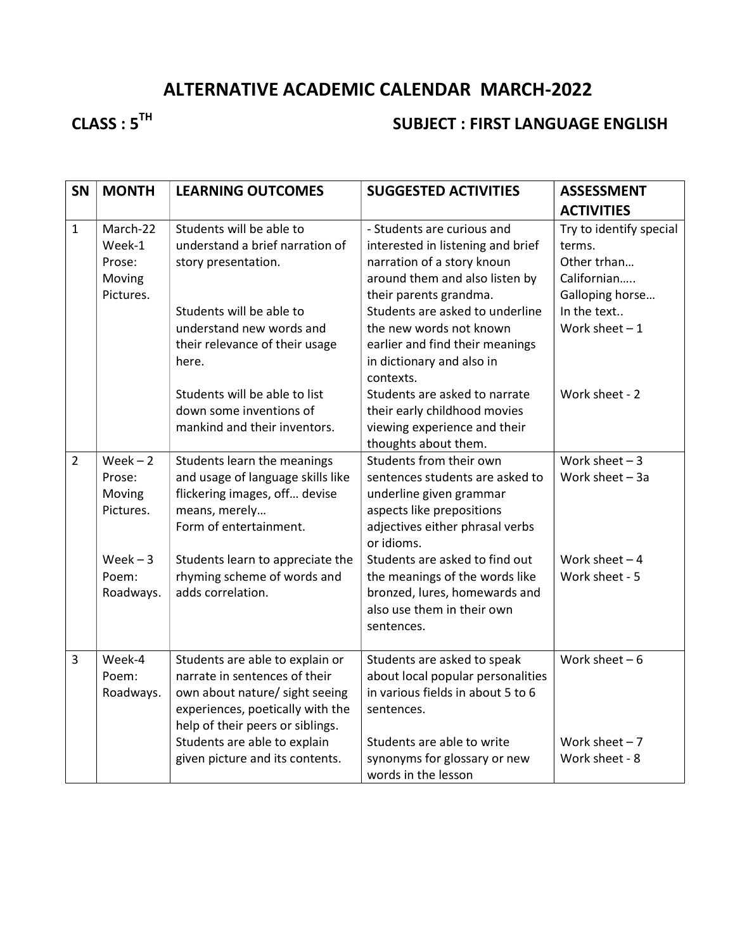## ALTERNATIVE ACADEMIC CALENDAR MARCH-2022

# CLASS : 5<sup>TH</sup> SUBJECT : FIRST LANGUAGE ENGLISH

| <b>SN</b>      | <b>MONTH</b>                                        | <b>LEARNING OUTCOMES</b>                                                                                                                                                                                                                      | <b>SUGGESTED ACTIVITIES</b>                                                                                                                                                                              | <b>ASSESSMENT</b>                                                                                 |
|----------------|-----------------------------------------------------|-----------------------------------------------------------------------------------------------------------------------------------------------------------------------------------------------------------------------------------------------|----------------------------------------------------------------------------------------------------------------------------------------------------------------------------------------------------------|---------------------------------------------------------------------------------------------------|
|                |                                                     |                                                                                                                                                                                                                                               |                                                                                                                                                                                                          | <b>ACTIVITIES</b>                                                                                 |
| $\mathbf{1}$   | March-22<br>Week-1<br>Prose:<br>Moving<br>Pictures. | Students will be able to<br>understand a brief narration of<br>story presentation.<br>Students will be able to                                                                                                                                | - Students are curious and<br>interested in listening and brief<br>narration of a story knoun<br>around them and also listen by<br>their parents grandma.<br>Students are asked to underline             | Try to identify special<br>terms.<br>Other trhan<br>Californian<br>Galloping horse<br>In the text |
|                |                                                     | understand new words and<br>their relevance of their usage<br>here.                                                                                                                                                                           | the new words not known<br>earlier and find their meanings<br>in dictionary and also in<br>contexts.                                                                                                     | Work sheet $-1$                                                                                   |
|                |                                                     | Students will be able to list<br>down some inventions of<br>mankind and their inventors.                                                                                                                                                      | Students are asked to narrate<br>their early childhood movies<br>viewing experience and their<br>thoughts about them.                                                                                    | Work sheet - 2                                                                                    |
| $\overline{2}$ | $Week - 2$<br>Prose:<br>Moving<br>Pictures.         | Students learn the meanings<br>and usage of language skills like<br>flickering images, off devise<br>means, merely<br>Form of entertainment.                                                                                                  | Students from their own<br>sentences students are asked to<br>underline given grammar<br>aspects like prepositions<br>adjectives either phrasal verbs<br>or idioms.                                      | Work sheet $-3$<br>Work sheet $-3a$                                                               |
|                | $Week - 3$<br>Poem:<br>Roadways.                    | Students learn to appreciate the<br>rhyming scheme of words and<br>adds correlation.                                                                                                                                                          | Students are asked to find out<br>the meanings of the words like<br>bronzed, lures, homewards and<br>also use them in their own<br>sentences.                                                            | Work sheet $-4$<br>Work sheet - 5                                                                 |
| 3              | Week-4<br>Poem:<br>Roadways.                        | Students are able to explain or<br>narrate in sentences of their<br>own about nature/ sight seeing<br>experiences, poetically with the<br>help of their peers or siblings.<br>Students are able to explain<br>given picture and its contents. | Students are asked to speak<br>about local popular personalities<br>in various fields in about 5 to 6<br>sentences.<br>Students are able to write<br>synonyms for glossary or new<br>words in the lesson | Work sheet $-6$<br>Work sheet $-7$<br>Work sheet - 8                                              |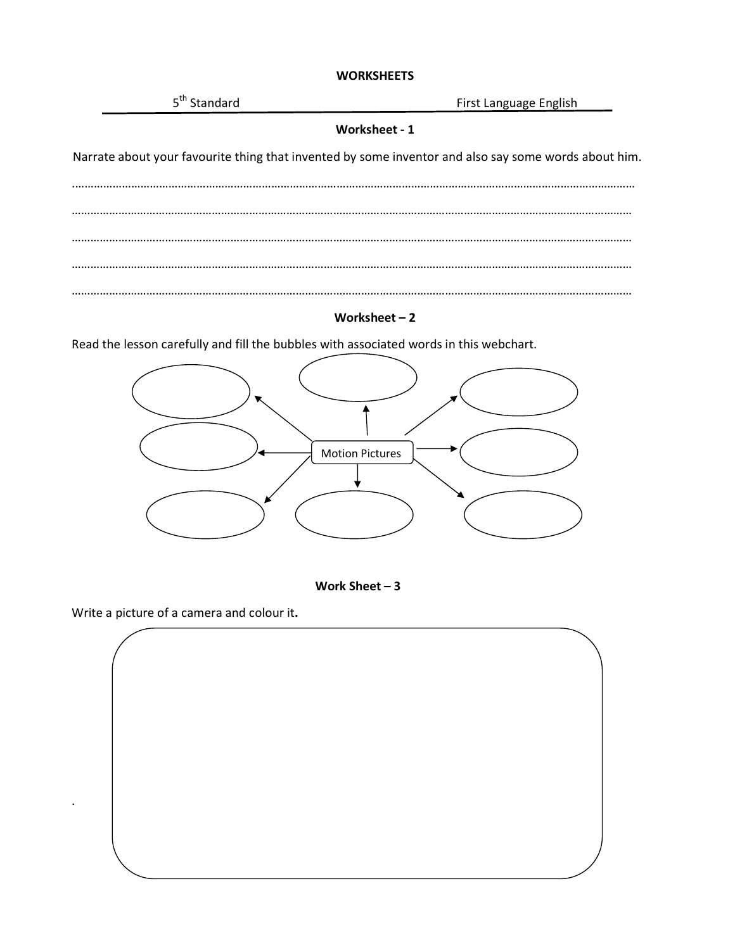#### **WORKSHEETS**



Worksheet – 2

Read the lesson carefully and fill the bubbles with associated words in this webchart.





Write a picture of a camera and colour it.

.

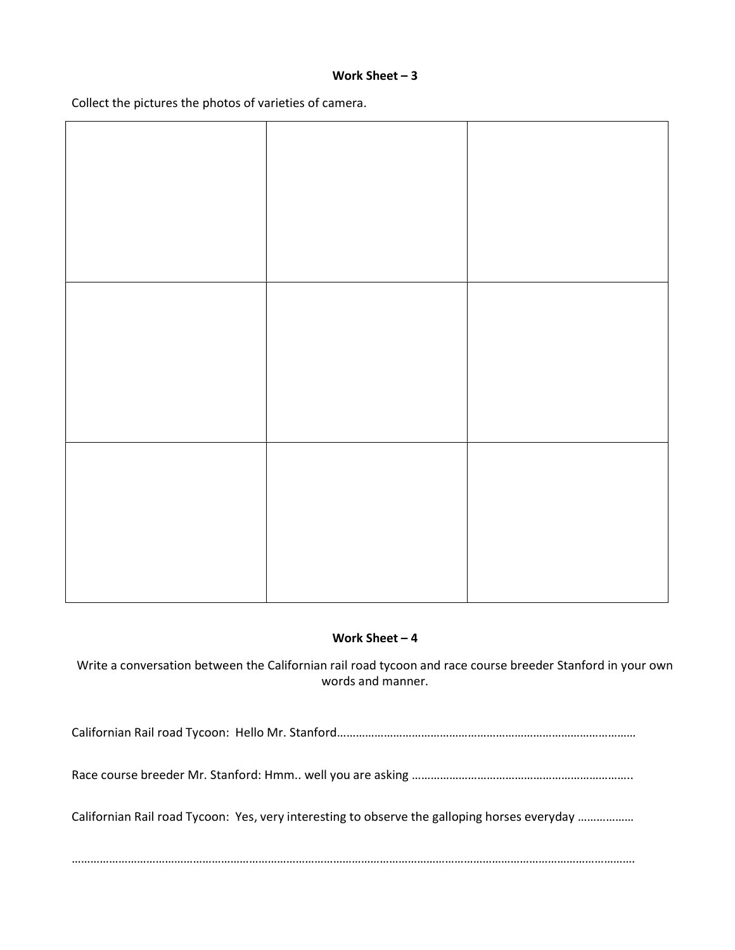#### Work Sheet – 3

Collect the pictures the photos of varieties of camera.

#### Work Sheet – 4

Write a conversation between the Californian rail road tycoon and race course breeder Stanford in your own words and manner.

Californian Rail road Tycoon: Hello Mr. Stanford……………………………………………………………………………………

Race course breeder Mr. Stanford: Hmm.. well you are asking ……………………………………………………………..

Californian Rail road Tycoon: Yes, very interesting to observe the galloping horses everyday ………………

……………………………………………………………………………………………………………………………………………………………….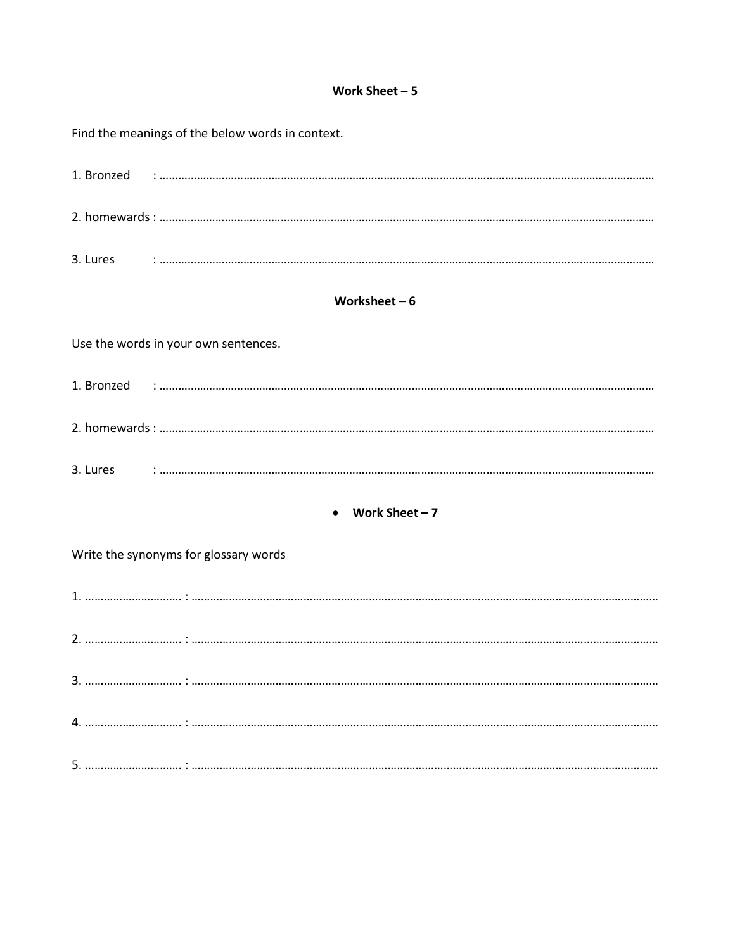#### Work Sheet  $-5$

|                                       | Find the meanings of the below words in context. |  |  |  |
|---------------------------------------|--------------------------------------------------|--|--|--|
|                                       |                                                  |  |  |  |
|                                       |                                                  |  |  |  |
|                                       |                                                  |  |  |  |
|                                       | Worksheet $-6$                                   |  |  |  |
|                                       | Use the words in your own sentences.             |  |  |  |
|                                       |                                                  |  |  |  |
|                                       |                                                  |  |  |  |
|                                       |                                                  |  |  |  |
|                                       | Work Sheet $-7$                                  |  |  |  |
| Write the synonyms for glossary words |                                                  |  |  |  |
|                                       |                                                  |  |  |  |
|                                       |                                                  |  |  |  |
|                                       |                                                  |  |  |  |
|                                       |                                                  |  |  |  |
|                                       |                                                  |  |  |  |